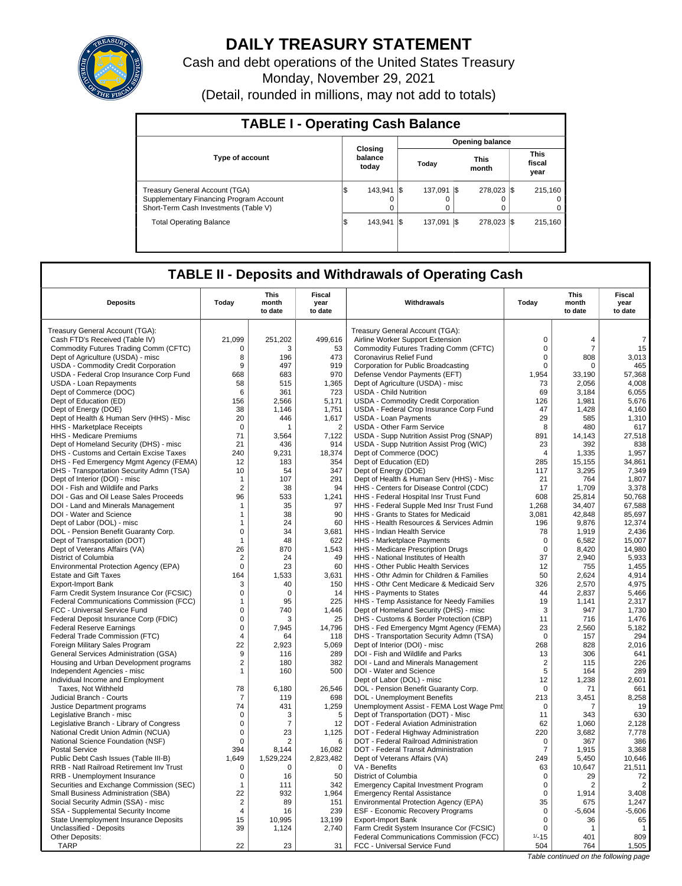

# **DAILY TREASURY STATEMENT**

Cash and debt operations of the United States Treasury Monday, November 29, 2021 (Detail, rounded in millions, may not add to totals)

| <b>TABLE I - Operating Cash Balance</b>                                                                                   |     |                             |     |              |      |                        |  |                               |  |  |
|---------------------------------------------------------------------------------------------------------------------------|-----|-----------------------------|-----|--------------|------|------------------------|--|-------------------------------|--|--|
|                                                                                                                           |     |                             |     |              |      | <b>Opening balance</b> |  |                               |  |  |
| <b>Type of account</b>                                                                                                    |     | Closing<br>balance<br>today |     | Today        |      | <b>This</b><br>month   |  | <b>This</b><br>fiscal<br>year |  |  |
| <b>Treasury General Account (TGA)</b><br>Supplementary Financing Program Account<br>Short-Term Cash Investments (Table V) | S   | 143.941<br>$\Omega$         | I\$ | 137.091<br>0 | -1\$ | 278.023 \\$<br>0       |  | 215.160<br>$^{\circ}$<br>0    |  |  |
| <b>Total Operating Balance</b>                                                                                            | 1\$ | 143.941                     | I\$ | 137.091      | I\$  | 278.023 \\$            |  | 215.160                       |  |  |

## **TABLE II - Deposits and Withdrawals of Operating Cash**

| <b>Deposits</b>                                       | Today                            | <b>This</b><br>month<br>to date | <b>Fiscal</b><br>year<br>to date | Withdrawals                                                                         | Today                      | <b>This</b><br>month<br>to date | <b>Fiscal</b><br>year<br>to date |
|-------------------------------------------------------|----------------------------------|---------------------------------|----------------------------------|-------------------------------------------------------------------------------------|----------------------------|---------------------------------|----------------------------------|
| Treasury General Account (TGA):                       |                                  |                                 |                                  | Treasury General Account (TGA):                                                     |                            |                                 |                                  |
| Cash FTD's Received (Table IV)                        | 21.099                           | 251,202                         | 499,616                          | Airline Worker Support Extension                                                    | $\mathbf 0$                | $\overline{4}$                  | $\overline{7}$                   |
| Commodity Futures Trading Comm (CFTC)                 | $\mathbf 0$                      | 3                               | 53                               | Commodity Futures Trading Comm (CFTC)                                               | $\pmb{0}$                  | $\overline{7}$                  | 15                               |
| Dept of Agriculture (USDA) - misc                     | 8                                | 196                             | 473                              | Coronavirus Relief Fund                                                             | $\mathbf 0$                | 808                             | 3,013                            |
| USDA - Commodity Credit Corporation                   | 9                                | 497                             | 919                              | Corporation for Public Broadcasting                                                 | $\mathbf 0$                | 0                               | 465                              |
| USDA - Federal Crop Insurance Corp Fund               | 668                              | 683                             | 970                              | Defense Vendor Payments (EFT)                                                       | 1,954                      | 33.190                          | 57,368                           |
| USDA - Loan Repayments                                | 58                               | 515                             | 1,365                            | Dept of Agriculture (USDA) - misc                                                   | 73                         | 2,056                           | 4,008                            |
| Dept of Commerce (DOC)                                | 6                                | 361                             | 723                              | <b>USDA - Child Nutrition</b>                                                       | 69                         | 3,184                           | 6,055                            |
| Dept of Education (ED)                                | 156                              | 2,566                           | 5,171                            | <b>USDA - Commodity Credit Corporation</b>                                          | 126                        | 1,981                           | 5,676                            |
| Dept of Energy (DOE)                                  | 38                               | 1,146                           | 1,751                            | USDA - Federal Crop Insurance Corp Fund                                             | 47                         | 1,428                           | 4,160                            |
| Dept of Health & Human Serv (HHS) - Misc              | 20                               | 446                             | 1,617                            | <b>USDA - Loan Payments</b>                                                         | 29                         | 585                             | 1,310                            |
| HHS - Marketplace Receipts                            | $\mathbf 0$                      |                                 | $\overline{2}$                   | USDA - Other Farm Service                                                           | 8                          | 480                             | 617                              |
| HHS - Medicare Premiums                               | 71                               | 3,564                           | 7,122                            | USDA - Supp Nutrition Assist Prog (SNAP)                                            | 891                        | 14,143                          | 27,518                           |
| Dept of Homeland Security (DHS) - misc                | 21                               | 436                             | 914                              | USDA - Supp Nutrition Assist Prog (WIC)                                             | 23                         | 392                             | 838                              |
| DHS - Customs and Certain Excise Taxes                | 240                              | 9,231                           | 18,374                           | Dept of Commerce (DOC)                                                              | $\overline{4}$             | 1,335                           | 1,957                            |
| DHS - Fed Emergency Mgmt Agency (FEMA)                | 12                               | 183                             | 354                              | Dept of Education (ED)                                                              | 285                        | 15,155                          | 34,861                           |
| DHS - Transportation Security Admn (TSA)              | 10                               | 54                              | 347                              | Dept of Energy (DOE)                                                                | 117                        | 3,295                           | 7,349                            |
| Dept of Interior (DOI) - misc                         | $\mathbf{1}$                     | 107                             | 291                              | Dept of Health & Human Serv (HHS) - Misc                                            | 21                         | 764                             | 1,807                            |
| DOI - Fish and Wildlife and Parks                     | $\overline{2}$                   | 38                              | 94                               | HHS - Centers for Disease Control (CDC)                                             | 17                         | 1.709                           | 3,378                            |
| DOI - Gas and Oil Lease Sales Proceeds                | 96                               | 533                             | 1,241                            | HHS - Federal Hospital Insr Trust Fund                                              | 608                        | 25.814                          | 50,768                           |
| DOI - Land and Minerals Management                    | $\mathbf 1$                      | 35                              | 97                               | HHS - Federal Supple Med Insr Trust Fund                                            | 1,268                      | 34,407                          | 67,588                           |
| DOI - Water and Science                               | $\mathbf{1}$                     | 38                              | 90                               | HHS - Grants to States for Medicaid                                                 | 3,081                      | 42,848                          | 85,697                           |
| Dept of Labor (DOL) - misc                            | 1                                | 24                              | 60                               | HHS - Health Resources & Services Admin                                             | 196                        | 9.876                           | 12.374                           |
| DOL - Pension Benefit Guaranty Corp.                  | $\mathbf 0$                      | 34                              | 3,681                            | HHS - Indian Health Service                                                         | 78                         | 1,919                           | 2,436                            |
| Dept of Transportation (DOT)                          | $\mathbf{1}$<br>26               | 48<br>870                       | 622<br>1,543                     | HHS - Marketplace Payments                                                          | $\mathbf 0$<br>$\mathbf 0$ | 6.582<br>8,420                  | 15.007<br>14,980                 |
| Dept of Veterans Affairs (VA)<br>District of Columbia | $\overline{2}$                   | 24                              | 49                               | HHS - Medicare Prescription Drugs<br>HHS - National Institutes of Health            | 37                         | 2,940                           | 5,933                            |
| Environmental Protection Agency (EPA)                 | $\mathbf 0$                      | 23                              | 60                               | HHS - Other Public Health Services                                                  | 12                         | 755                             | 1,455                            |
| <b>Estate and Gift Taxes</b>                          | 164                              | 1,533                           | 3,631                            | HHS - Othr Admin for Children & Families                                            | 50                         | 2,624                           | 4,914                            |
| Export-Import Bank                                    | 3                                | 40                              | 150                              | HHS - Othr Cent Medicare & Medicaid Serv                                            | 326                        | 2,570                           | 4,975                            |
| Farm Credit System Insurance Cor (FCSIC)              | $\mathbf 0$                      | $\Omega$                        | 14                               | HHS - Payments to States                                                            | 44                         | 2,837                           | 5,466                            |
| Federal Communications Commission (FCC)               | $\mathbf{1}$                     | 95                              | 225                              | HHS - Temp Assistance for Needy Families                                            | 19                         | 1.141                           | 2.317                            |
| FCC - Universal Service Fund                          | $\mathbf 0$                      | 740                             | 1,446                            | Dept of Homeland Security (DHS) - misc                                              | 3                          | 947                             | 1,730                            |
| Federal Deposit Insurance Corp (FDIC)                 | $\Omega$                         | З                               | 25                               | DHS - Customs & Border Protection (CBP)                                             | 11                         | 716                             | 1.476                            |
| <b>Federal Reserve Earnings</b>                       | $\mathsf 0$                      | 7,945                           | 14,796                           | DHS - Fed Emergency Mgmt Agency (FEMA)                                              | 23                         | 2,560                           | 5,182                            |
| Federal Trade Commission (FTC)                        | 4                                | 64                              | 118                              | DHS - Transportation Security Admn (TSA)                                            | $\Omega$                   | 157                             | 294                              |
| Foreign Military Sales Program                        | 22                               | 2,923                           | 5,069                            | Dept of Interior (DOI) - misc                                                       | 268                        | 828                             | 2,016                            |
| General Services Administration (GSA)                 | 9                                | 116                             | 289                              | DOI - Fish and Wildlife and Parks                                                   | 13                         | 306                             | 641                              |
| Housing and Urban Development programs                | 2                                | 180                             | 382                              | DOI - Land and Minerals Management                                                  | $\overline{2}$             | 115                             | 226                              |
| Independent Agencies - misc                           | $\mathbf{1}$                     | 160                             | 500                              | DOI - Water and Science                                                             | 5                          | 164                             | 289                              |
| Individual Income and Employment                      |                                  |                                 |                                  | Dept of Labor (DOL) - misc                                                          | 12                         | 1,238                           | 2.601                            |
| Taxes, Not Withheld                                   | 78                               | 6,180                           | 26,546                           | DOL - Pension Benefit Guaranty Corp.                                                | $\mathbf 0$                | 71                              | 661                              |
| Judicial Branch - Courts                              | 7                                | 119                             | 698                              | <b>DOL</b> - Unemployment Benefits                                                  | 213                        | 3,451                           | 8,258                            |
| Justice Department programs                           | 74                               | 431                             | 1,259                            | Unemployment Assist - FEMA Lost Wage Pmt                                            | $\mathbf 0$                | 7                               | 19                               |
| Legislative Branch - misc                             | $\Omega$                         | 3                               | 5                                | Dept of Transportation (DOT) - Misc                                                 | 11                         | 343                             | 630                              |
| Legislative Branch - Library of Congress              | 0                                | 7                               | 12                               | DOT - Federal Aviation Administration                                               | 62                         | 1,060                           | 2,128                            |
| National Credit Union Admin (NCUA)                    | $\mathbf 0$                      | 23                              | 1,125                            | DOT - Federal Highway Administration                                                | 220                        | 3,682                           | 7,778                            |
| National Science Foundation (NSF)                     | $\mathbf 0$                      | $\overline{2}$                  | 6                                | DOT - Federal Railroad Administration                                               | $\mathbf 0$                | 367                             | 386                              |
| <b>Postal Service</b>                                 | 394                              | 8,144                           | 16,082                           | DOT - Federal Transit Administration                                                | $\overline{7}$             | 1,915                           | 3,368                            |
| Public Debt Cash Issues (Table III-B)                 | 1,649                            | 1,529,224                       | 2,823,482                        | Dept of Veterans Affairs (VA)                                                       | 249                        | 5,450                           | 10,646                           |
| RRB - Natl Railroad Retirement Inv Trust              | 0                                | 0                               | $\mathbf 0$                      | VA - Benefits                                                                       | 63                         | 10,647                          | 21,511                           |
| RRB - Unemployment Insurance                          | $\Omega$                         | 16                              | 50                               | District of Columbia                                                                | $\Omega$                   | 29                              | 72                               |
| Securities and Exchange Commission (SEC)              | $\mathbf{1}$                     | 111                             | 342                              | <b>Emergency Capital Investment Program</b>                                         | $\mathbf 0$                | 2                               | $\overline{2}$                   |
| Small Business Administration (SBA)                   | 22                               | 932                             | 1,964                            | <b>Emergency Rental Assistance</b>                                                  | $\mathbf 0$                | 1,914                           | 3,408                            |
| Social Security Admin (SSA) - misc                    | $\overline{2}$<br>$\overline{4}$ | 89                              | 151<br>239                       | Environmental Protection Agency (EPA)                                               | 35<br>$\mathbf 0$          | 675                             | 1,247                            |
| SSA - Supplemental Security Income                    |                                  | 16                              |                                  | <b>ESF - Economic Recovery Programs</b>                                             | $\mathbf 0$                | $-5,604$<br>36                  | $-5,606$                         |
| State Unemployment Insurance Deposits                 | 15<br>39                         | 10,995                          | 13,199                           | <b>Export-Import Bank</b>                                                           |                            |                                 | 65<br>$\mathbf{1}$               |
| Unclassified - Deposits<br>Other Deposits:            |                                  | 1,124                           | 2,740                            | Farm Credit System Insurance Cor (FCSIC)<br>Federal Communications Commission (FCC) | 0<br>$1/-15$               | 1<br>401                        | 809                              |
| <b>TARP</b>                                           | 22                               | 23                              | 31                               | FCC - Universal Service Fund                                                        | 504                        | 764                             | 1,505                            |
|                                                       |                                  |                                 |                                  |                                                                                     |                            |                                 |                                  |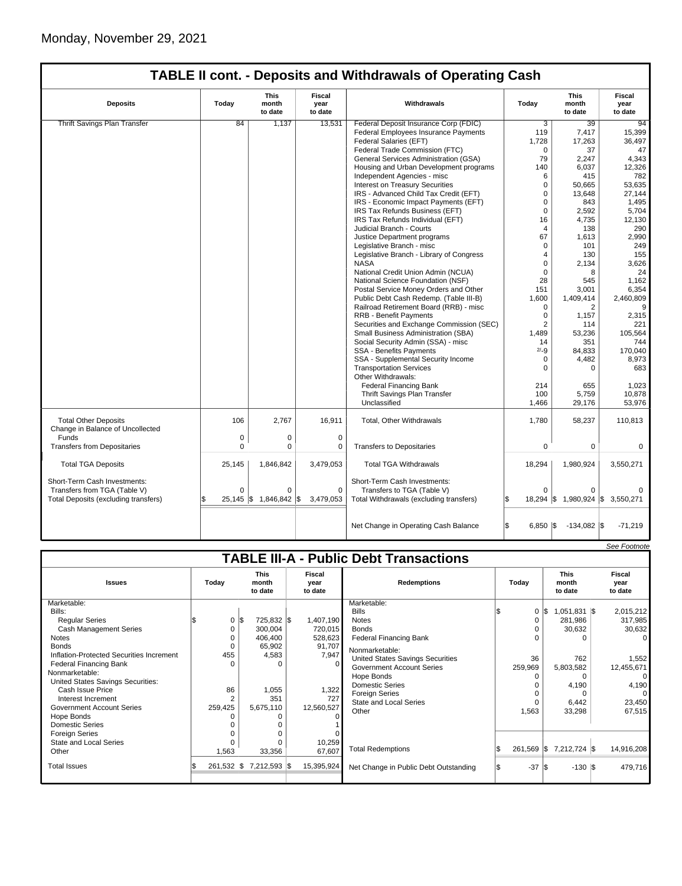|                                                                 |             |                                 |                                          | <b>TABLE II cont. - Deposits and Withdrawals of Operating Cash</b> |                         |                                 |                                  |
|-----------------------------------------------------------------|-------------|---------------------------------|------------------------------------------|--------------------------------------------------------------------|-------------------------|---------------------------------|----------------------------------|
| <b>Deposits</b>                                                 | Today       | <b>This</b><br>month<br>to date | Fiscal<br>Withdrawals<br>year<br>to date |                                                                    | Today                   | <b>This</b><br>month<br>to date | <b>Fiscal</b><br>year<br>to date |
| <b>Thrift Savings Plan Transfer</b>                             | 84          | 1,137                           | 13,531                                   | Federal Deposit Insurance Corp (FDIC)                              | 3                       | 39                              | 94                               |
|                                                                 |             |                                 |                                          | <b>Federal Employees Insurance Payments</b>                        | 119                     | 7,417                           | 15,399                           |
|                                                                 |             |                                 |                                          | Federal Salaries (EFT)                                             | 1,728                   | 17,263                          | 36,497                           |
|                                                                 |             |                                 |                                          | Federal Trade Commission (FTC)                                     | $\Omega$                | 37                              | 47                               |
|                                                                 |             |                                 |                                          | General Services Administration (GSA)                              | 79                      | 2,247                           | 4,343                            |
|                                                                 |             |                                 |                                          | Housing and Urban Development programs                             | 140                     | 6,037                           | 12,326                           |
|                                                                 |             |                                 |                                          | Independent Agencies - misc                                        | 6                       | 415                             | 782                              |
|                                                                 |             |                                 |                                          | Interest on Treasury Securities                                    | $\mathbf 0$             | 50.665                          | 53.635                           |
|                                                                 |             |                                 |                                          | IRS - Advanced Child Tax Credit (EFT)                              | $\Omega$                | 13.648                          | 27,144                           |
|                                                                 |             |                                 |                                          | IRS - Economic Impact Payments (EFT)                               | $\mathbf 0$             | 843                             | 1,495                            |
|                                                                 |             |                                 |                                          | IRS Tax Refunds Business (EFT)                                     | $\mathbf 0$             | 2.592                           | 5.704                            |
|                                                                 |             |                                 |                                          | IRS Tax Refunds Individual (EFT)                                   | 16                      | 4,735                           | 12,130                           |
|                                                                 |             |                                 |                                          | Judicial Branch - Courts                                           | 4                       | 138                             | 290                              |
|                                                                 |             |                                 |                                          |                                                                    | 67                      | 1.613                           |                                  |
|                                                                 |             |                                 |                                          | Justice Department programs<br>Legislative Branch - misc           | $\Omega$                | 101                             | 2,990<br>249                     |
|                                                                 |             |                                 |                                          |                                                                    |                         |                                 |                                  |
|                                                                 |             |                                 |                                          | Legislative Branch - Library of Congress                           | 4<br>$\Omega$           | 130                             | 155                              |
|                                                                 |             |                                 |                                          | <b>NASA</b>                                                        |                         | 2,134                           | 3,626                            |
|                                                                 |             |                                 |                                          | National Credit Union Admin (NCUA)                                 | $\Omega$                | 8                               | 24                               |
|                                                                 |             |                                 |                                          | National Science Foundation (NSF)                                  | 28                      | 545                             | 1,162                            |
|                                                                 |             |                                 |                                          | Postal Service Money Orders and Other                              | 151                     | 3,001                           | 6,354                            |
|                                                                 |             |                                 |                                          | Public Debt Cash Redemp. (Table III-B)                             | 1,600                   | 1,409,414                       | 2,460,809                        |
|                                                                 |             |                                 |                                          | Railroad Retirement Board (RRB) - misc                             | $\mathbf 0$             | 2                               | 9                                |
|                                                                 |             |                                 |                                          | <b>RRB - Benefit Payments</b>                                      | $\Omega$                | 1,157                           | 2,315                            |
|                                                                 |             |                                 |                                          | Securities and Exchange Commission (SEC)                           | $\overline{2}$          | 114                             | 221                              |
|                                                                 |             |                                 |                                          | Small Business Administration (SBA)                                | 1,489                   | 53,236                          | 105,564                          |
|                                                                 |             |                                 |                                          | Social Security Admin (SSA) - misc                                 | 14                      | 351                             | 744                              |
|                                                                 |             |                                 |                                          | <b>SSA - Benefits Payments</b>                                     | $2/-9$                  | 84,833                          | 170,040                          |
|                                                                 |             |                                 |                                          | SSA - Supplemental Security Income                                 | $\mathbf 0$             | 4,482                           | 8,973                            |
|                                                                 |             |                                 |                                          | <b>Transportation Services</b>                                     | $\Omega$                | $\Omega$                        | 683                              |
|                                                                 |             |                                 |                                          | Other Withdrawals:                                                 |                         |                                 |                                  |
|                                                                 |             |                                 |                                          | <b>Federal Financing Bank</b>                                      | 214                     | 655                             | 1,023                            |
|                                                                 |             |                                 |                                          | Thrift Savings Plan Transfer                                       | 100                     | 5,759                           | 10,878                           |
|                                                                 |             |                                 |                                          | Unclassified                                                       | 1,466                   | 29,176                          | 53,976                           |
| <b>Total Other Deposits</b><br>Change in Balance of Uncollected | 106         | 2,767                           | 16,911                                   | Total, Other Withdrawals                                           | 1,780                   | 58,237                          | 110,813                          |
| Funds                                                           | 0           | $\Omega$                        | $\mathbf 0$                              |                                                                    |                         |                                 |                                  |
| <b>Transfers from Depositaries</b>                              | $\mathbf 0$ | 0                               | 0                                        | <b>Transfers to Depositaries</b>                                   | $\mathbf 0$             | 0                               | 0                                |
| <b>Total TGA Deposits</b>                                       | 25,145      | 1,846,842                       | 3,479,053                                | <b>Total TGA Withdrawals</b>                                       | 18,294                  | 1,980,924                       | 3,550,271                        |
| Short-Term Cash Investments:<br>Transfers from TGA (Table V)    | $\Omega$    | $\Omega$                        | $\Omega$                                 | Short-Term Cash Investments:<br>Transfers to TGA (Table V)         | $\Omega$                | $\Omega$                        |                                  |
| Total Deposits (excluding transfers)                            |             | 25,145 \$ 1,846,842             | l\$<br>3,479,053                         | Total Withdrawals (excluding transfers)                            | $18,294$ \$             |                                 | 1,980,924 \$ 3,550,271           |
|                                                                 |             |                                 |                                          | Net Change in Operating Cash Balance                               | ß<br>$6,850$ $\sqrt{5}$ | $-134,082$ \\$                  | $-71,219$                        |

|                                               |                                          |            |                           |              |                    |            |                                         |  |                                 |                  |                           |  | See Footnote |
|-----------------------------------------------|------------------------------------------|------------|---------------------------|--------------|--------------------|------------|-----------------------------------------|--|---------------------------------|------------------|---------------------------|--|--------------|
| <b>TABLE III-A - Public Debt Transactions</b> |                                          |            |                           |              |                    |            |                                         |  |                                 |                  |                           |  |              |
| <b>Issues</b>                                 | <b>This</b><br>Today<br>month<br>to date |            | Fiscal<br>year<br>to date |              | <b>Redemptions</b> |            | Today                                   |  | <b>This</b><br>month<br>to date |                  | Fiscal<br>year<br>to date |  |              |
| Marketable:                                   |                                          |            |                           |              |                    |            | Marketable:                             |  |                                 |                  |                           |  |              |
| Bills:                                        |                                          |            |                           |              |                    |            | <b>Bills</b>                            |  |                                 | $0 \text{ }  S $ | $1,051,831$ \$            |  | 2,015,212    |
| <b>Regular Series</b>                         |                                          | 0          | l\$                       | 725,832 \$   |                    | 1,407,190  | <b>Notes</b>                            |  | 0                               |                  | 281,986                   |  | 317,985      |
| <b>Cash Management Series</b>                 |                                          | 0          |                           | 300,004      |                    | 720,015    | <b>Bonds</b>                            |  | $\Omega$                        |                  | 30,632                    |  | 30,632       |
| <b>Notes</b>                                  |                                          | O          |                           | 406,400      |                    | 528,623    | <b>Federal Financing Bank</b>           |  |                                 |                  |                           |  |              |
| <b>Bonds</b>                                  |                                          | 0          |                           | 65,902       |                    | 91,707     | Nonmarketable:                          |  |                                 |                  |                           |  |              |
| Inflation-Protected Securities Increment      |                                          | 455        |                           | 4,583        |                    | 7,947      | <b>United States Savings Securities</b> |  | 36                              |                  | 762                       |  | 1,552        |
| <b>Federal Financing Bank</b>                 |                                          | $\Omega$   |                           | O            |                    | $\Omega$   | <b>Government Account Series</b>        |  | 259,969                         |                  | 5,803,582                 |  | 12,455,671   |
| Nonmarketable:                                |                                          |            |                           |              |                    |            | Hope Bonds                              |  | $\Omega$                        |                  | $\Omega$                  |  | 0            |
| United States Savings Securities:             |                                          |            |                           |              |                    |            | Domestic Series                         |  |                                 |                  | 4,190                     |  | 4,190        |
| Cash Issue Price                              |                                          | 86         |                           | 1,055        |                    | 1,322      | <b>Foreign Series</b>                   |  |                                 |                  |                           |  | 01           |
| Interest Increment                            |                                          |            |                           | 351          |                    | 727        | <b>State and Local Series</b>           |  | $\Omega$                        |                  | 6,442                     |  | 23,450       |
| <b>Government Account Series</b>              |                                          | 259,425    |                           | 5,675,110    |                    | 12,560,527 | Other                                   |  | 1,563                           |                  | 33,298                    |  | 67,515       |
| Hope Bonds                                    |                                          |            |                           |              |                    |            |                                         |  |                                 |                  |                           |  |              |
| Domestic Series                               |                                          |            |                           |              |                    |            |                                         |  |                                 |                  |                           |  |              |
| <b>Foreign Series</b>                         |                                          |            |                           |              |                    |            |                                         |  |                                 |                  |                           |  |              |
| State and Local Series                        |                                          |            |                           |              |                    | 10,259     |                                         |  |                                 |                  |                           |  |              |
| Other                                         |                                          | 1,563      |                           | 33,356       |                    | 67,607     | <b>Total Redemptions</b>                |  | 261,569 \$                      |                  | 7,212,724 \$              |  | 14,916,208   |
| <b>Total Issues</b>                           |                                          | 261,532 \$ |                           | 7,212,593 \$ |                    | 15,395,924 | Net Change in Public Debt Outstanding   |  | $-37$ \$                        |                  | $-130$ $\sqrt{5}$         |  | 479,716      |
|                                               |                                          |            |                           |              |                    |            |                                         |  |                                 |                  |                           |  |              |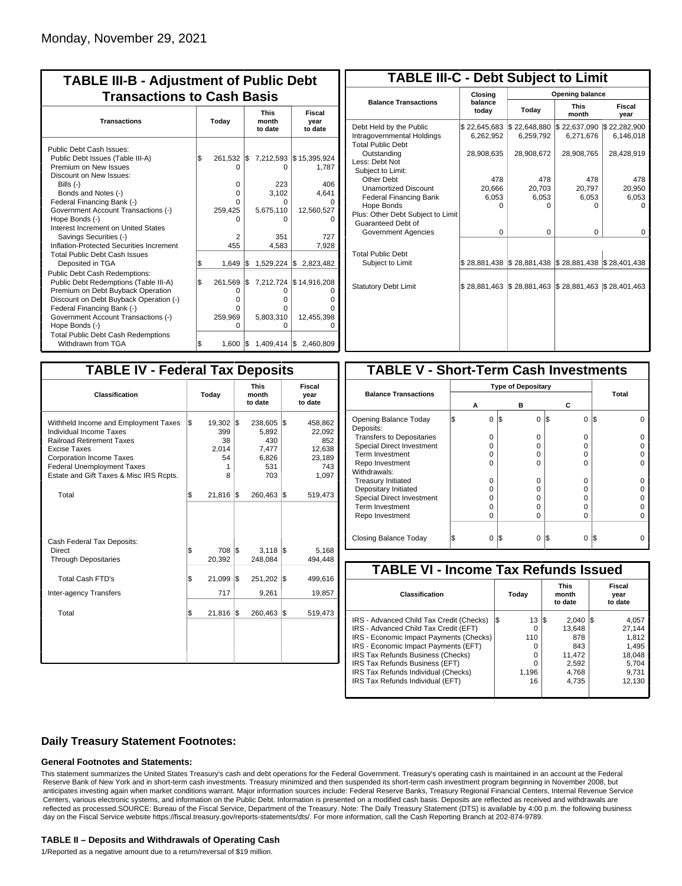| <b>TABLE III-B - Adjustment of Public Debt</b><br><b>Transactions to Cash Basis</b>                                                                                                                                                                                                                                                                      |          |                                                                      |            |                                                          |                                                                                 |  |  |  |  |  |  |  |  |  |  |                                 |                           |
|----------------------------------------------------------------------------------------------------------------------------------------------------------------------------------------------------------------------------------------------------------------------------------------------------------------------------------------------------------|----------|----------------------------------------------------------------------|------------|----------------------------------------------------------|---------------------------------------------------------------------------------|--|--|--|--|--|--|--|--|--|--|---------------------------------|---------------------------|
| <b>Transactions</b>                                                                                                                                                                                                                                                                                                                                      | Today    |                                                                      |            |                                                          |                                                                                 |  |  |  |  |  |  |  |  |  |  | <b>This</b><br>month<br>to date | Fiscal<br>year<br>to date |
| Public Debt Cash Issues:<br>Public Debt Issues (Table III-A)<br>Premium on New Issues<br>Discount on New Issues:<br>Bills (-)<br>Bonds and Notes (-)<br>Federal Financing Bank (-)<br>Government Account Transactions (-)<br>Hope Bonds (-)<br>Interest Increment on United States<br>Savings Securities (-)<br>Inflation-Protected Securities Increment | l\$      | 261.532 \\$<br>$\Omega$<br>$\Omega$<br>0<br>0<br>259,425<br>2<br>455 |            | 0<br>223<br>3,102<br>0<br>5,675,110<br>n<br>351<br>4,583 | 7,212,593   \$15,395,924<br>1,787<br>406<br>4,641<br>12,560,527<br>727<br>7,928 |  |  |  |  |  |  |  |  |  |  |                                 |                           |
| <b>Total Public Debt Cash Issues</b><br>Deposited in TGA<br><b>Public Debt Cash Redemptions:</b><br>Public Debt Redemptions (Table III-A)<br>Premium on Debt Buyback Operation                                                                                                                                                                           | \$<br>\$ | 1.649<br>261,569<br>Ο<br>o                                           | l\$<br>I\$ | O<br>o                                                   | 1,529,224 \$ 2,823,482<br>7,212,724 \$14,916,208                                |  |  |  |  |  |  |  |  |  |  |                                 |                           |
| Discount on Debt Buyback Operation (-)<br>Federal Financing Bank (-)<br>Government Account Transactions (-)<br>Hope Bonds (-)<br><b>Total Public Debt Cash Redemptions</b><br>Withdrawn from TGA                                                                                                                                                         | \$       | 0<br>259,969<br>O<br>$1,600$ $\sqrt{5}$                              |            | o<br>5,803,310<br>O                                      | 12,455,398<br>1,409,414 \$ 2,460,809                                            |  |  |  |  |  |  |  |  |  |  |                                 |                           |

| <b>TABLE III-C - Debt Subject to Limit</b>                                        |                           |                                                                                  |                           |                           |  |  |  |  |  |  |
|-----------------------------------------------------------------------------------|---------------------------|----------------------------------------------------------------------------------|---------------------------|---------------------------|--|--|--|--|--|--|
|                                                                                   | Closing                   | Opening balance                                                                  |                           |                           |  |  |  |  |  |  |
| <b>Balance Transactions</b>                                                       | balance<br>today          | Today                                                                            | <b>This</b><br>month      | Fiscal<br>year            |  |  |  |  |  |  |
| Debt Held by the Public<br>Intragovernmental Holdings<br><b>Total Public Debt</b> | \$22,645,683<br>6,262,952 | \$22,648,880<br>6,259,792                                                        | \$22,637,090<br>6,271,676 | \$22,282,900<br>6,146,018 |  |  |  |  |  |  |
| Outstanding<br>Less: Debt Not<br>Subject to Limit:                                | 28,908,635                | 28,908,672                                                                       | 28,908,765                | 28,428,919                |  |  |  |  |  |  |
| Other Debt                                                                        | 478                       | 478                                                                              | 478                       | 478                       |  |  |  |  |  |  |
| <b>Unamortized Discount</b>                                                       | 20,666                    | 20,703                                                                           | 20,797                    | 20,950                    |  |  |  |  |  |  |
| <b>Federal Financing Bank</b>                                                     | 6,053                     | 6,053                                                                            | 6,053                     | 6,053                     |  |  |  |  |  |  |
| Hope Bonds                                                                        | $\Omega$                  | O                                                                                | U                         | O                         |  |  |  |  |  |  |
| Plus: Other Debt Subject to Limit<br>Guaranteed Debt of                           |                           |                                                                                  |                           |                           |  |  |  |  |  |  |
| Government Agencies                                                               | $\Omega$                  | $\Omega$                                                                         | $\Omega$                  | 0                         |  |  |  |  |  |  |
| <b>Total Public Debt</b><br>Subject to Limit                                      | \$28,881,438              | $\frac{1}{2}$ \$28,881,438 $\frac{1}{2}$ \$28,881,438 $\frac{1}{2}$ \$28,401,438 |                           |                           |  |  |  |  |  |  |
|                                                                                   |                           |                                                                                  |                           |                           |  |  |  |  |  |  |
| <b>Statutory Debt Limit</b>                                                       | \$28,881,463              | \$28,881,463                                                                     | \$28,881,463              | \$28,401,463              |  |  |  |  |  |  |
|                                                                                   |                           |                                                                                  |                           |                           |  |  |  |  |  |  |

| <b>TABLE IV - Federal Tax Deposits</b>                                                                                                                                                                                                        |     |                                                 |     |                                                               |     |                                                              |
|-----------------------------------------------------------------------------------------------------------------------------------------------------------------------------------------------------------------------------------------------|-----|-------------------------------------------------|-----|---------------------------------------------------------------|-----|--------------------------------------------------------------|
| <b>Classification</b>                                                                                                                                                                                                                         |     | Today                                           |     | <b>This</b><br>month<br>to date                               |     | <b>Fiscal</b><br>year<br>to date                             |
| Withheld Income and Employment Taxes<br>Individual Income Taxes<br><b>Railroad Retirement Taxes</b><br><b>Excise Taxes</b><br><b>Corporation Income Taxes</b><br><b>Federal Unemployment Taxes</b><br>Estate and Gift Taxes & Misc IRS Rcpts. | \$  | 19,302 \$<br>399<br>38<br>2,014<br>54<br>1<br>8 |     | $238,605$ \\$<br>5,892<br>430<br>7,477<br>6,826<br>531<br>703 |     | 458,862<br>22,092<br>852<br>12,638<br>23,189<br>743<br>1,097 |
| Total                                                                                                                                                                                                                                         | \$  | 21,816                                          | 1\$ | 260,463 \$                                                    |     | 519,473                                                      |
| Cash Federal Tax Deposits:<br>Direct<br><b>Through Depositaries</b>                                                                                                                                                                           | \$  | 708 \$<br>20,392                                |     | $3,118$ $\sqrt{5}$<br>248,084                                 |     | 5,168<br>494,448                                             |
| <b>Total Cash FTD's</b>                                                                                                                                                                                                                       | Ŝ.  | 21,099                                          | l\$ | 251,202 \$                                                    |     | 499,616                                                      |
| <b>Inter-agency Transfers</b>                                                                                                                                                                                                                 |     | 717                                             |     | 9,261                                                         |     | 19,857                                                       |
| Total                                                                                                                                                                                                                                         | l\$ | 21,816                                          | 1\$ | 260,463                                                       | 1\$ | 519,473                                                      |
|                                                                                                                                                                                                                                               |     |                                                 |     |                                                               |     |                                                              |

| <b>TABLE V - Short-Term Cash Investments</b> |          |                                |               |       |  |  |  |  |  |
|----------------------------------------------|----------|--------------------------------|---------------|-------|--|--|--|--|--|
|                                              |          |                                |               |       |  |  |  |  |  |
| <b>Balance Transactions</b>                  | А        | <b>Type of Depositary</b><br>в | С             | Total |  |  |  |  |  |
| Opening Balance Today<br>Deposits:           | 0        | 1\$<br>0                       | \$<br>0       | l\$   |  |  |  |  |  |
| <b>Transfers to Depositaries</b>             | O        | n                              | 0             |       |  |  |  |  |  |
| <b>Special Direct Investment</b>             | Ω        | Ω                              | 0             |       |  |  |  |  |  |
| Term Investment                              | O        | Ω                              | 0             |       |  |  |  |  |  |
| Repo Investment                              | n        | n                              | U             |       |  |  |  |  |  |
| Withdrawals:                                 |          |                                |               |       |  |  |  |  |  |
| <b>Treasury Initiated</b>                    | O        | n                              | 0             |       |  |  |  |  |  |
| Depositary Initiated                         | Ω        | Ω                              | 0             |       |  |  |  |  |  |
| <b>Special Direct Investment</b>             | Ω        | Ω                              | 0             |       |  |  |  |  |  |
| <b>Term Investment</b>                       | Ω        | Ω                              | 0             |       |  |  |  |  |  |
| Repo Investment                              | O        | Ω                              | 0             |       |  |  |  |  |  |
|                                              |          |                                |               |       |  |  |  |  |  |
| Closing Balance Today                        | $\Omega$ | I\$<br>$\Omega$                | S<br>$\Omega$ | l\$   |  |  |  |  |  |

| <b>TABLE VI - Income Tax Refunds Issued</b> |     |       |    |                                 |  |                           |  |  |  |  |
|---------------------------------------------|-----|-------|----|---------------------------------|--|---------------------------|--|--|--|--|
| <b>Classification</b>                       |     | Today |    | <b>This</b><br>month<br>to date |  | Fiscal<br>year<br>to date |  |  |  |  |
| IRS - Advanced Child Tax Credit (Checks)    | l\$ | 13    | 13 | 2.040                           |  | 4,057                     |  |  |  |  |
| IRS - Advanced Child Tax Credit (EFT)       |     | 0     |    | 13.648                          |  | 27.144                    |  |  |  |  |
| IRS - Economic Impact Payments (Checks)     |     | 110   |    | 878                             |  | 1.812                     |  |  |  |  |
| IRS - Economic Impact Payments (EFT)        |     | 0     |    | 843                             |  | 1,495                     |  |  |  |  |
| IRS Tax Refunds Business (Checks)           |     | O     |    | 11.472                          |  | 18,048                    |  |  |  |  |
| IRS Tax Refunds Business (EFT)              |     | 0     |    | 2,592                           |  | 5,704                     |  |  |  |  |
| IRS Tax Refunds Individual (Checks)         |     | 1.196 |    | 4.768                           |  | 9.731                     |  |  |  |  |
| IRS Tax Refunds Individual (EFT)            |     | 16    |    | 4,735                           |  | 12,130                    |  |  |  |  |
|                                             |     |       |    |                                 |  |                           |  |  |  |  |

### **Daily Treasury Statement Footnotes:**

#### **General Footnotes and Statements:**

This statement summarizes the United States Treasury's cash and debt operations for the Federal Government. Treasury's operating cash is maintained in an account at the Federal Reserve Bank of New York and in short-term cash investments. Treasury minimized and then suspended its short-term cash investment program beginning in November 2008, but anticipates investing again when market conditions warrant. Major information sources include: Federal Reserve Banks, Treasury Regional Financial Centers, Internal Revenue Service Centers, various electronic systems, and information on the Public Debt. Information is presented on a modified cash basis. Deposits are reflected as received and withdrawals are reflected as processed.SOURCE: Bureau of the Fiscal Service, Department of the Treasury. Note: The Daily Treasury Statement (DTS) is available by 4:00 p.m. the following business day on the Fiscal Service website https://fiscal.treasury.gov/reports-statements/dts/. For more information, call the Cash Reporting Branch at 202-874-9789.

#### **TABLE II – Deposits and Withdrawals of Operating Cash**

1/Reported as a negative amount due to a return/reversal of \$19 million.